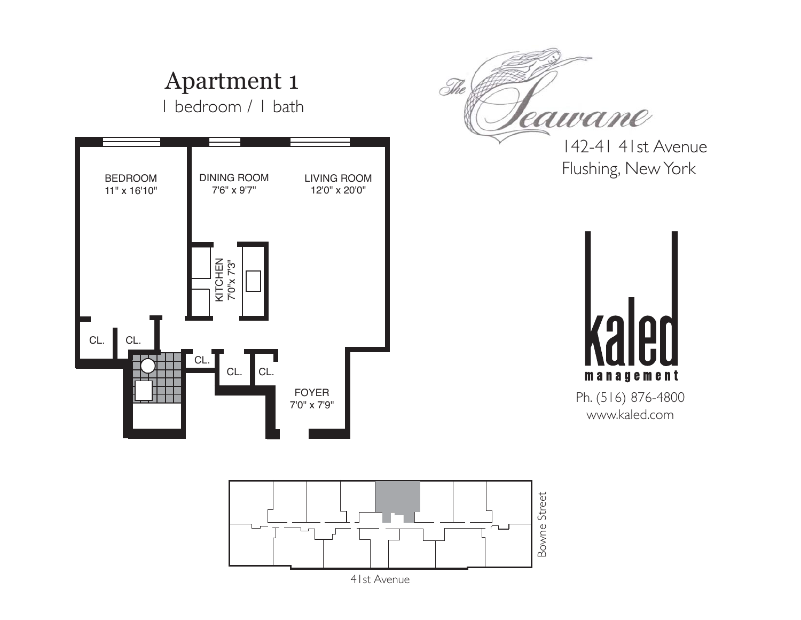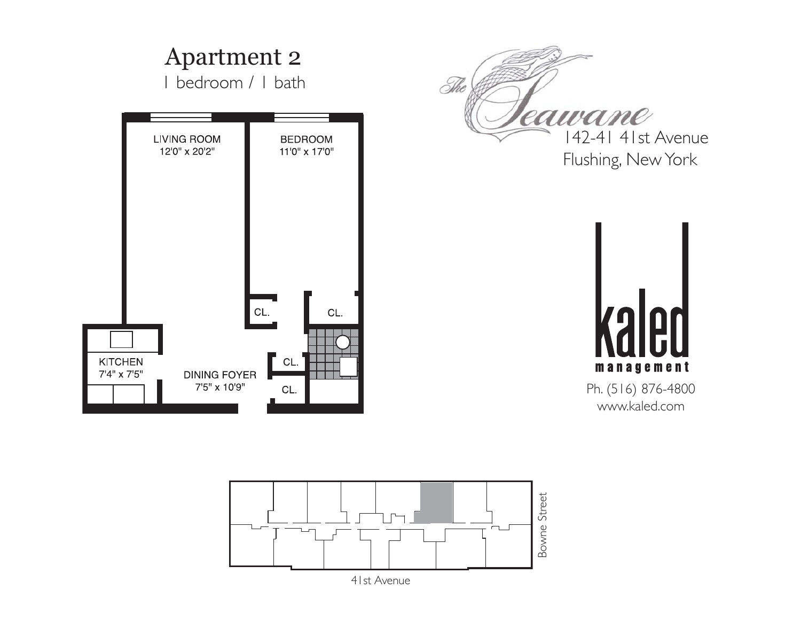

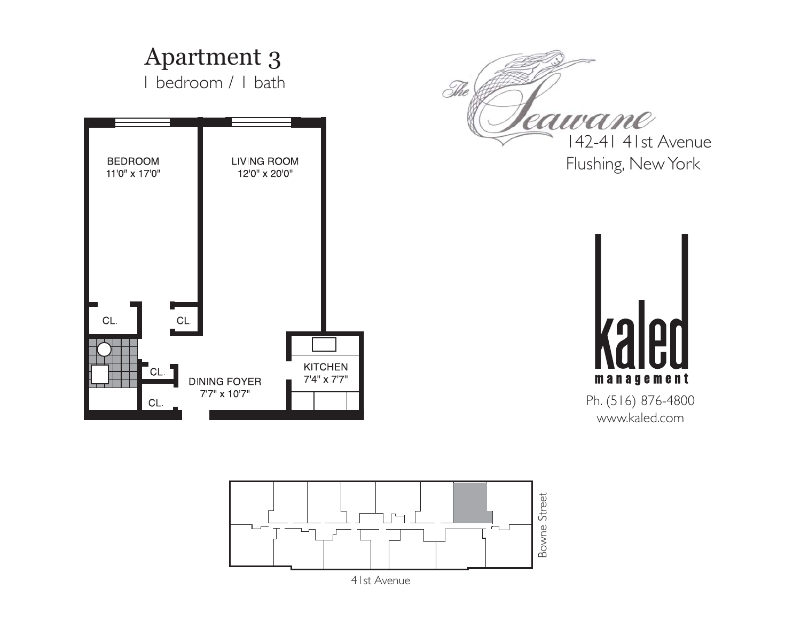

![](_page_2_Figure_1.jpeg)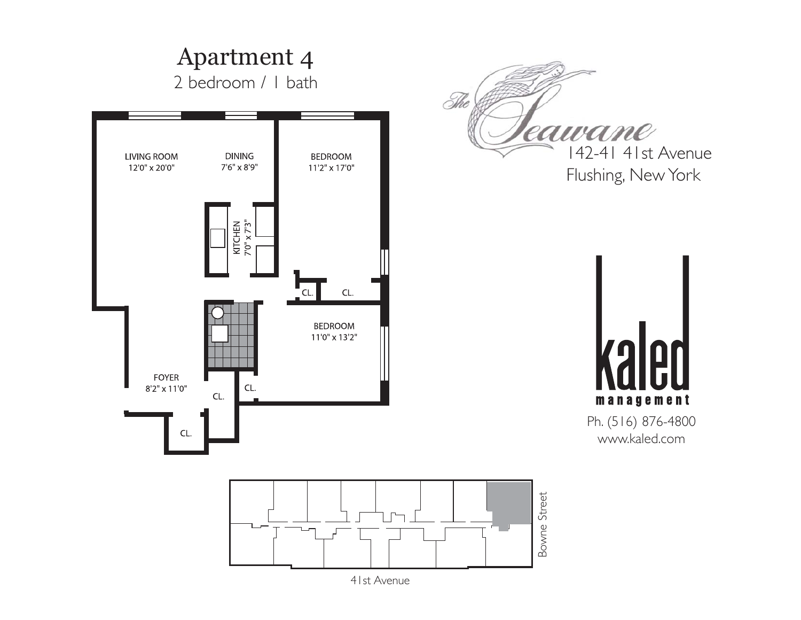![](_page_3_Figure_0.jpeg)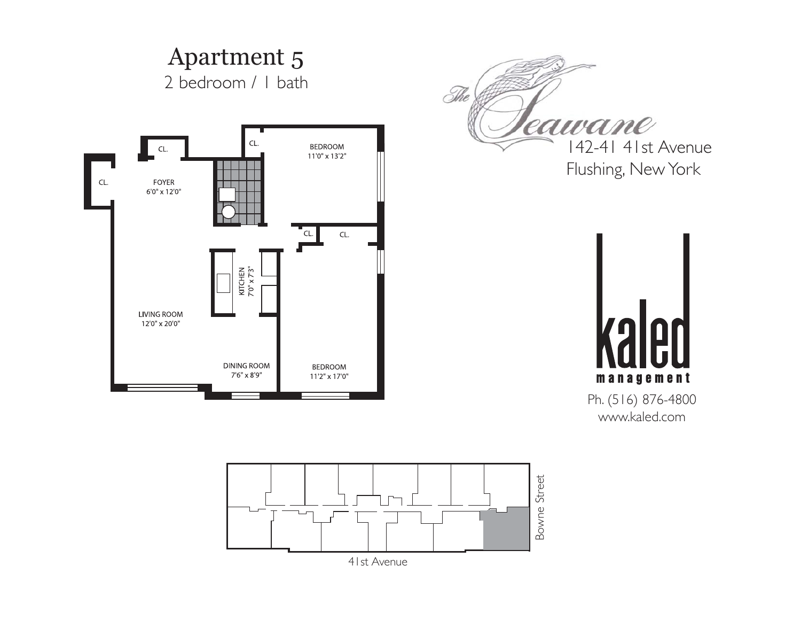![](_page_4_Figure_0.jpeg)

![](_page_4_Figure_1.jpeg)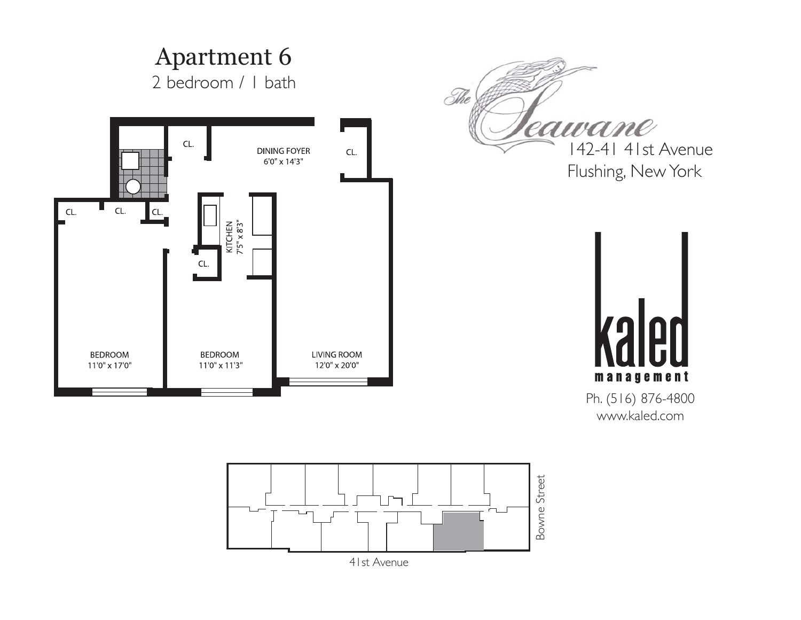![](_page_5_Figure_0.jpeg)

![](_page_5_Figure_1.jpeg)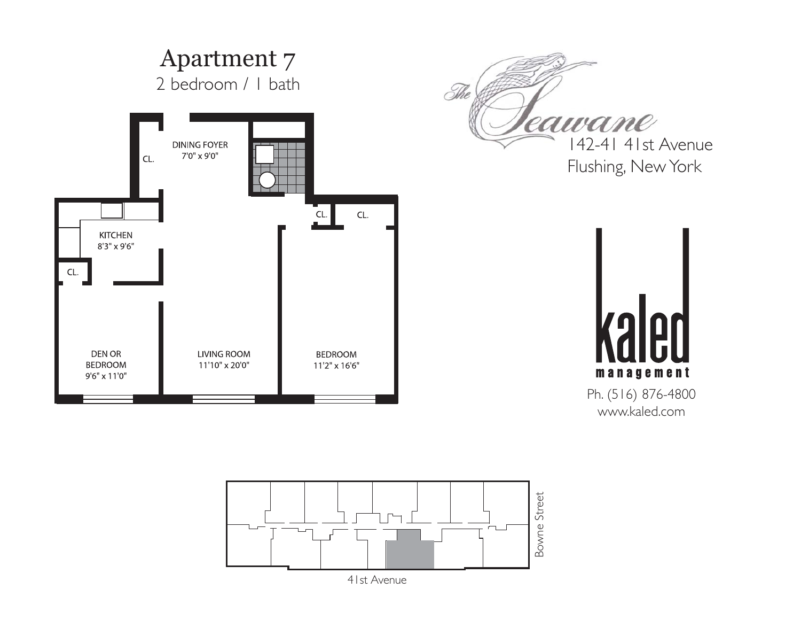![](_page_6_Figure_0.jpeg)

![](_page_6_Picture_1.jpeg)

142-41 41st Avenue Flushing, New York

![](_page_6_Picture_3.jpeg)

Ph. (516) 876-4800 www.kaled.com

![](_page_6_Figure_5.jpeg)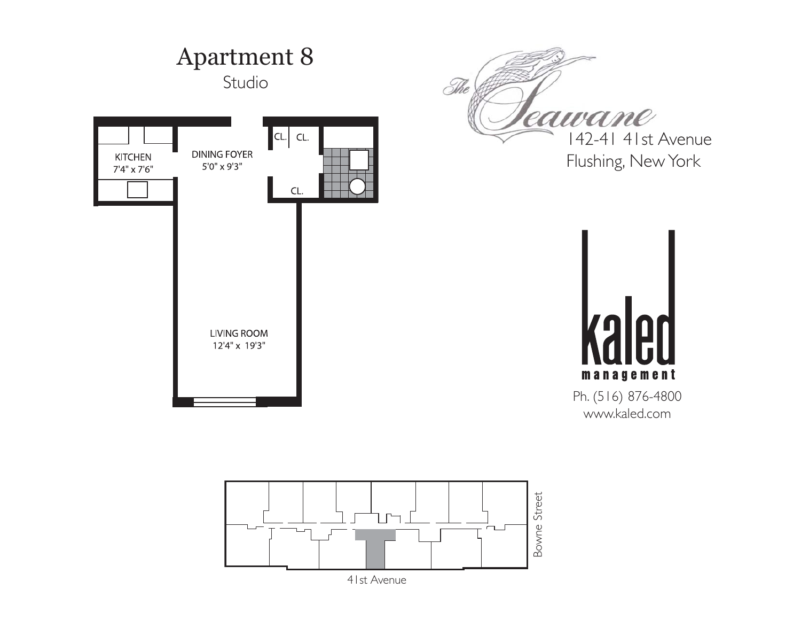![](_page_7_Figure_0.jpeg)

![](_page_7_Figure_1.jpeg)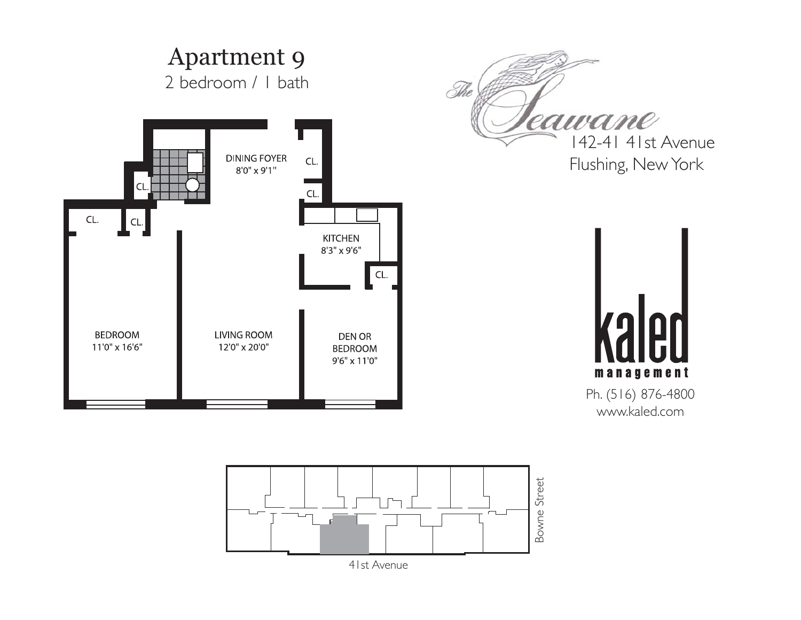![](_page_8_Figure_0.jpeg)

![](_page_8_Figure_1.jpeg)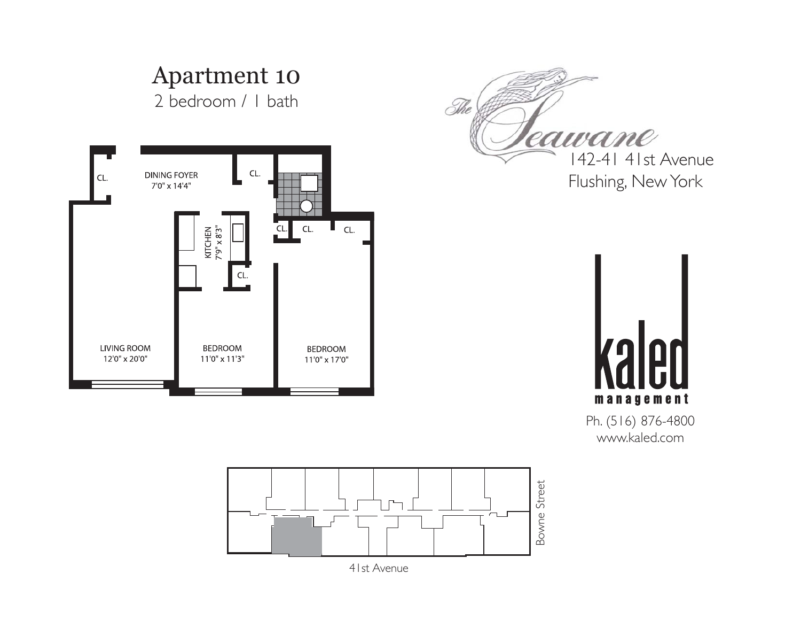![](_page_9_Picture_0.jpeg)

Bowne Street Bowne Street┍┓

Ph. (516) 876-4800 www.kaled.com

41st Avenue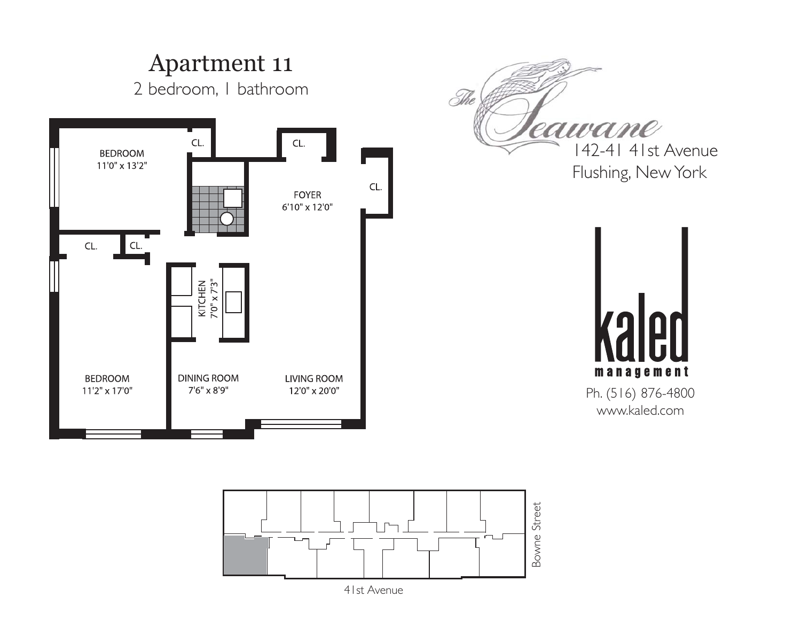![](_page_10_Figure_0.jpeg)

![](_page_10_Figure_1.jpeg)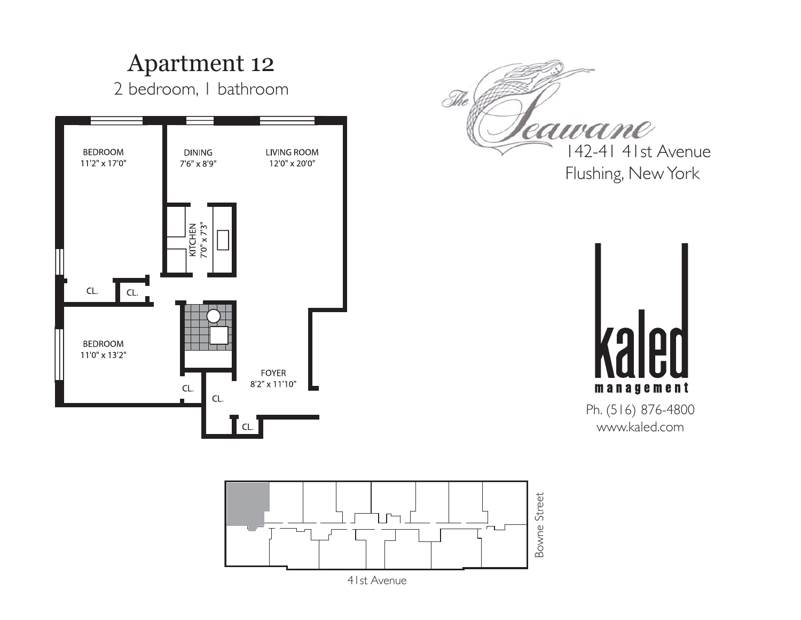![](_page_11_Figure_0.jpeg)

![](_page_11_Figure_1.jpeg)

41st Avenue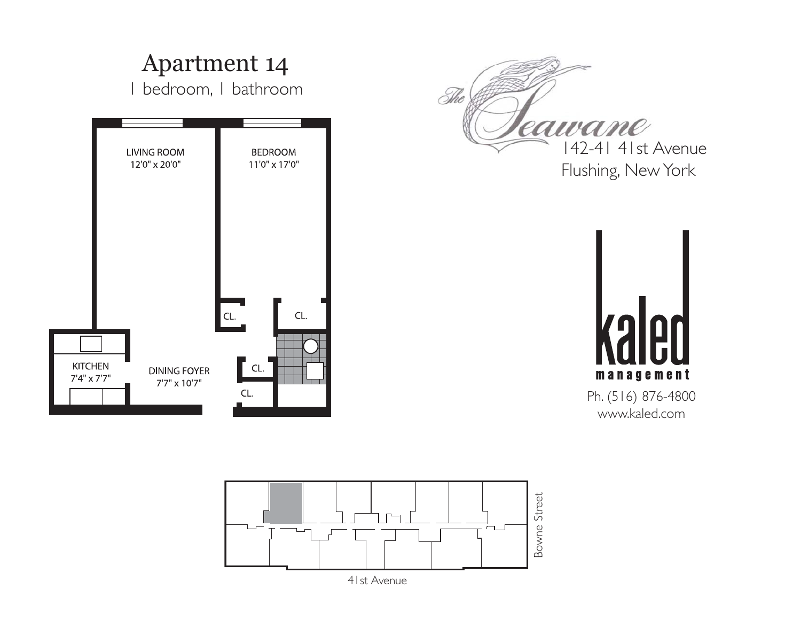![](_page_12_Figure_0.jpeg)

![](_page_12_Figure_1.jpeg)

41st Avenue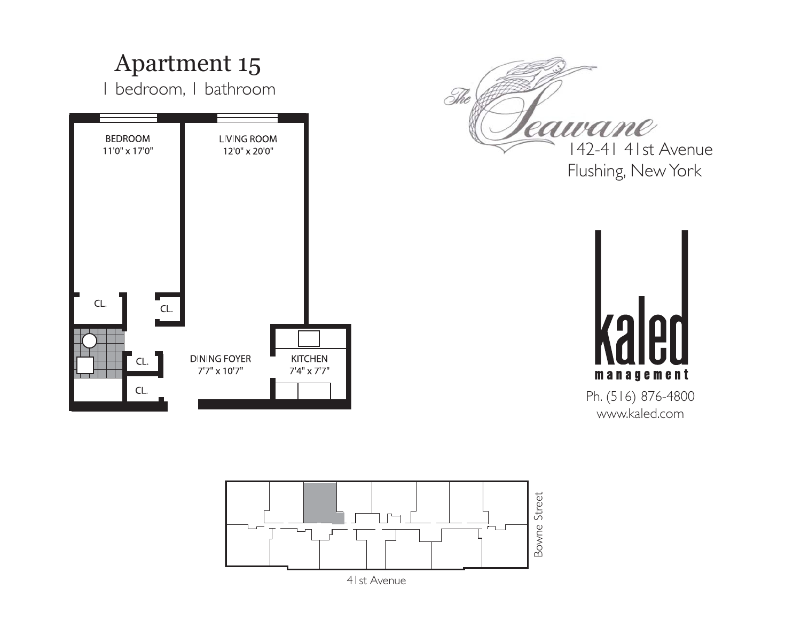![](_page_13_Figure_0.jpeg)

![](_page_13_Figure_1.jpeg)